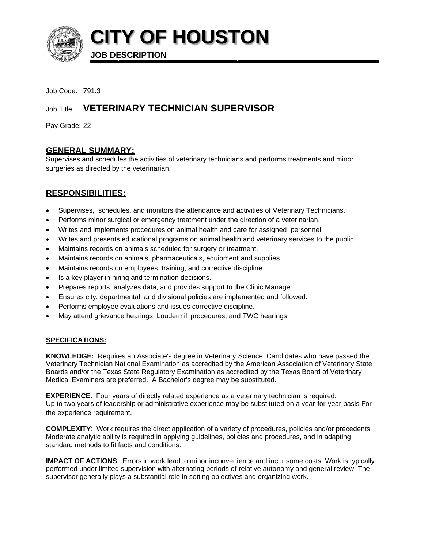

**CITY OF HOUSTON** 

**JOB DESCRIPTION** 

Job Code: 791.3

# Job Title: VETERINARY TECHNICIAN SUPERVISOR

Pay Grade: 22

# **GENERAL SUMMARY:**

Supervises and schedules the activities of veterinary technicians and performs treatments and minor surgeries as directed by the veterinarian.

# **RESPONSIBILITIES:**

- Supervises, schedules, and monitors the attendance and activities of Veterinary Technicians.
- Performs minor surgical or emergency treatment under the direction of a veterinarian.
- Writes and implements procedures on animal health and care for assigned personnel.
- Writes and presents educational programs on animal health and veterinary services to the public.
- Maintains records on animals scheduled for surgery or treatment.
- Maintains records on animals, pharmaceuticals, equipment and supplies.
- Maintains records on employees, training, and corrective discipline.
- Is a key player in hiring and termination decisions.
- Prepares reports, analyzes data, and provides support to the Clinic Manager.
- Ensures city, departmental, and divisional policies are implemented and followed.
- Performs employee evaluations and issues corrective discipline.
- May attend grievance hearings, Loudermill procedures, and TWC hearings.

# **SPECIFICATIONS:**

**KNOWLEDGE:** Requires an Associate's degree in Veterinary Science. Candidates who have passed the Veterinary Technician National Examination as accredited by the American Association of Veterinary State Boards and/or the Texas State Regulatory Examination as accredited by the Texas Board of Veterinary Medical Examiners are preferred. A Bachelor's degree may be substituted.

**EXPERIENCE:** Four years of directly related experience as a veterinary technician is required. Up to two years of leadership or administrative experience may be substituted on a year-for-year basis For the experience requirement.

**COMPLEXITY:** Work requires the direct application of a variety of procedures, policies and/or precedents. Moderate analytic ability is required in applying guidelines, policies and procedures, and in adapting standard methods to fit facts and conditions.

IMPACT OF ACTIONS: Errors in work lead to minor inconvenience and incur some costs. Work is typically performed under limited supervision with alternating periods of relative autonomy and general review. The supervisor generally plays a substantial role in setting objectives and organizing work.